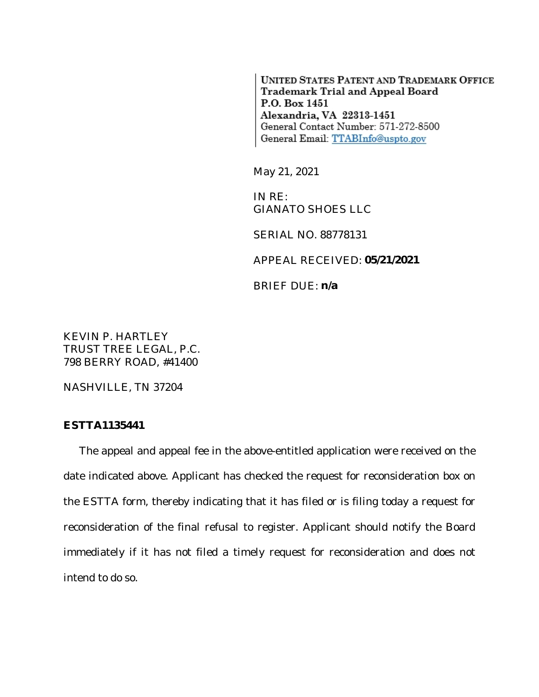UNITED STATES PATENT AND TRADEMARK OFFICE Trademark Trial and Appeal Board P.O. Box 1451 Alexandria, VA 22313-1451 General Contact Number: 571-272-8500 General Email: TTABInfo@uspto.gov

May 21, 2021

IN RE: *GIANATO SHOES LLC*

SERIAL NO. 88778131

APPEAL RECEIVED: **05/21/2021**

BRIEF DUE: **n/a**

KEVIN P. HARTLEY TRUST TREE LEGAL, P.C. 798 BERRY ROAD, #41400

NASHVILLE, TN 37204

## **ESTTA1135441**

The appeal and appeal fee in the above-entitled application were received on the date indicated above. Applicant has checked the request for reconsideration box on the ESTTA form, thereby indicating that it has filed or is filing today a request for reconsideration of the final refusal to register. Applicant should notify the Board immediately if it has not filed a timely request for reconsideration and does not intend to do so.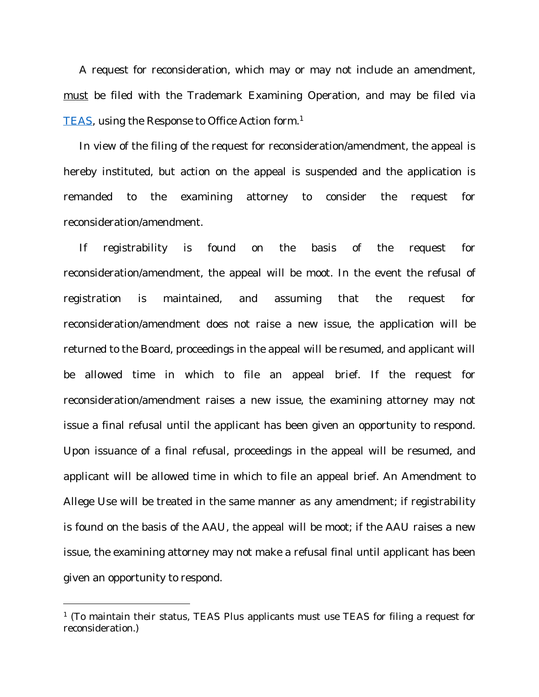A request for reconsideration, which may or may not include an amendment, must be filed with the Trademark Examining Operation, and may be filed via TEAS, using the Response to Office Action form.<sup>1</sup>

In view of the filing of the request for reconsideration/amendment, the appeal is hereby instituted, but action on the appeal is suspended and the application is remanded to the examining attorney to consider the request for reconsideration/amendment.

If registrability is found on the basis of the request for reconsideration/amendment, the appeal will be moot. In the event the refusal of registration is maintained, and assuming that the request for reconsideration/amendment does not raise a new issue, the application will be returned to the Board, proceedings in the appeal will be resumed, and applicant will be allowed time in which to file an appeal brief. If the request for reconsideration/amendment raises a new issue, the examining attorney may not issue a final refusal until the applicant has been given an opportunity to respond. Upon issuance of a final refusal, proceedings in the appeal will be resumed, and applicant will be allowed time in which to file an appeal brief. An Amendment to Allege Use will be treated in the same manner as any amendment; if registrability is found on the basis of the AAU, the appeal will be moot; if the AAU raises a new issue, the examining attorney may not make a refusal final until applicant has been given an opportunity to respond.

<sup>&</sup>lt;sup>1</sup> (To maintain their status, TEAS Plus applicants must use TEAS for filing a request for reconsideration.)